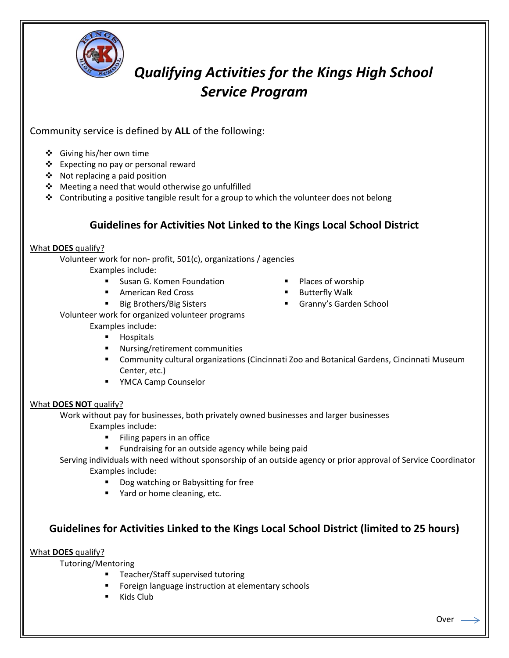

# *Qualifying Activities for the Kings High School Service Program*

## Community service is defined by **ALL** of the following:

- ❖ Giving his/her own time
- ❖ Expecting no pay or personal reward
- ◆ Not replacing a paid position
- Meeting a need that would otherwise go unfulfilled
- $\div$  Contributing a positive tangible result for a group to which the volunteer does not belong

# **Guidelines for Activities Not Linked to the Kings Local School District**

#### What **DOES** qualify?

Volunteer work for non- profit, 501(c), organizations / agencies Examples include:

- Susan G. Komen Foundation
- **American Red Cross**
- Big Brothers/Big Sisters
- Places of worship
- Butterfly Walk
- Granny's Garden School

Volunteer work for organized volunteer programs

### Examples include:

- **Hospitals**
- Nursing/retirement communities
- Community cultural organizations (Cincinnati Zoo and Botanical Gardens, Cincinnati Museum Center, etc.)
- **F** YMCA Camp Counselor

## What **DOES NOT** qualify?

Work without pay for businesses, both privately owned businesses and larger businesses Examples include:

- **Filing papers in an office**
- **Fundraising for an outside agency while being paid**
- Serving individuals with need without sponsorship of an outside agency or prior approval of Service Coordinator Examples include:
	- Dog watching or Babysitting for free
	- Yard or home cleaning, etc.

## **Guidelines for Activities Linked to the Kings Local School District (limited to 25 hours)**

What **DOES** qualify?

Tutoring/Mentoring

- **Teacher/Staff supervised tutoring**
- Foreign language instruction at elementary schools
- Kids Club

**Contact of the Contact of Contact of Contact of Contact of Contact of Contact of Contact of Contact of Contact**